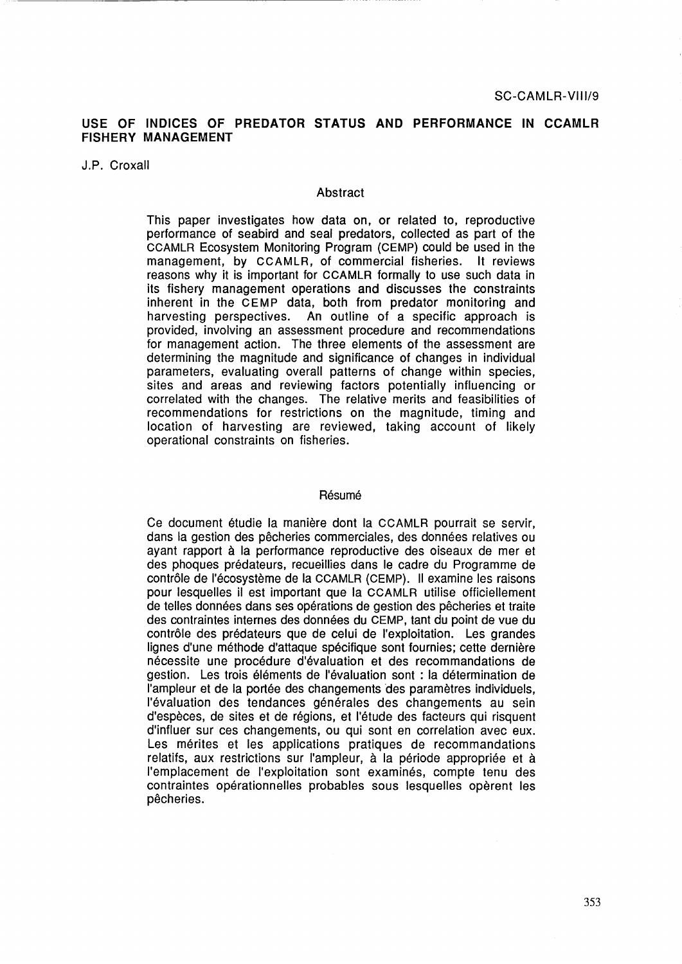# **USE OF INDICES OF PREDATOR STATUS AND PERFORMANCE IN CCAMLR FISHERY MANAGEMENT**

J.P. Croxall

#### Abstract

This paper investigates how data on, or related to, reproductive performance of seabird and seal predators, collected as part of the CCAMLR Ecosystem Monitoring Program (CEMP) could be used in the management, by CCAMLR, of commercial fisheries. lt reviews reasons why it is important for CCAMLR formally to use such data in its fishery management operations and discusses the constraints inherent in the CEMP data, both from predator monitoring and harvesting perspectives. An outline of a specific approach is provided, involving an assessment procedure and recommendations for management action. The three elements of the assessment are determining the magnitude and significance of changes in individual parameters, evaluating overall patterns of change within species, sites and areas and reviewing factors potentially influencing or correlated with the changes. The relative merits and feasibilities of recommendations for restrictions on the magnitude, timing and location of harvesting are reviewed, taking account of likely operational constraints on fisheries.

### Résumé

Ce document etudie la maniere dont la CCAMLR pourrait se servir, dans la gestion des pêcheries commerciales, des données relatives ou ayant rapport à la performance reproductive des oiseaux de mer et des phoques predateurs, recueillies dans le cadre du Programme de contrôle de l'écosystème de la CCAMLR (CEMP). Il examine les raisons pour lesquelles il est important que la CCAMLR utilise officiellement de telles données dans ses opérations de gestion des pêcheries et traite des contraintes internes des données du CEMP, tant du point de vue du contrôle des prédateurs que de celui de l'exploitation. Les grandes lignes d'une méthode d'attaque spécifique sont fournies; cette dernière necessite une procedure d'evaluation et des recommandations de gestion. Les trois elements de !'evaluation sont : la determination de l'ampleur et de la portée des changements des paramètres individuels, l'évaluation des tendances générales des changements au sein d'espèces, de sites et de régions, et l'étude des facteurs qui risquent d'influer sur ces changements, ou qui sont en correlation avec eux. Les mérites et les applications pratiques de recommandations relatifs, aux restrictions sur l'ampleur, à la période appropriée et à l'emplacement de l'exploitation sont examinés, compte tenu des contraintes opérationnelles probables sous lesquelles opèrent les pêcheries.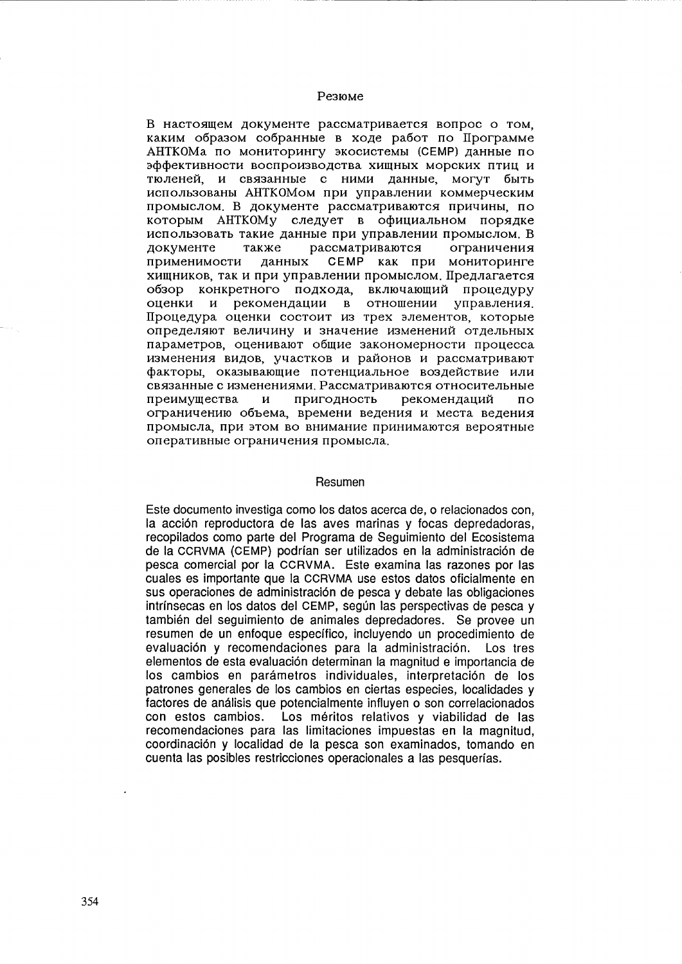### Резюме

В настоящем документе рассматривается вопрос о том. каким образом собранные в ходе работ по Программе АНТКОМа по мониторингу экосистемы (СЕМР) данные по эффективности воспроизводства хищных морских птиц и тюленей, и связанные с ними данные, могут быть использованы АНТКОМом при управлении коммерческим промыслом. В документе рассматриваются причины, по которым АНТКОМУ следует в официальном порядке использовать такие данные при управлении промыслом. В локументе также рассматриваются ограничения СЕМР как при мониторинге применимости данных хищников, так и при управлении промыслом. Предлагается обзор конкретного подхода, включающий процедуру управления. оценки и рекомендации в отношении Процедура оценки состоит из трех элементов, которые определяют величину и значение изменений отдельных параметров, оценивают общие закономерности процесса изменения видов, участков и районов и рассматривают факторы, оказывающие потенциальное воздействие или связанные с изменениями. Рассматриваются относительные преимущества  $\mathbf{M}$ пригодность рекомендаций  $\overline{u}$ ограничению объема, времени ведения и места ведения промысла, при этом во внимание принимаются вероятные оперативные ограничения промысла.

#### Resumen

Este documento investiga como los datos acerca de, o relacionados con, la acción reproductora de las aves marinas y focas depredadoras. recopilados como parte del Programa de Seguimiento del Ecosistema de la CCRVMA (CEMP) podrían ser utilizados en la administración de pesca comercial por la CCRVMA. Este examina las razones por las cuales es importante que la CCRVMA use estos datos oficialmente en sus operaciones de administración de pesca y debate las obligaciones intrínsecas en los datos del CEMP, según las perspectivas de pesca y también del seguimiento de animales depredadores. Se provee un resumen de un enfoque específico, incluvendo un procedimiento de evaluación y recomendaciones para la administración. Los tres elementos de esta evaluación determinan la magnitud e importancia de los cambios en parámetros individuales, interpretación de los patrones generales de los cambios en ciertas especies, localidades y factores de análisis que potencialmente influven o son correlacionados con estos cambios. Los méritos relativos y viabilidad de las recomendaciones para las limitaciones impuestas en la magnitud. coordinación y localidad de la pesca son examinados, tomando en cuenta las posibles restricciones operacionales a las pesquerías.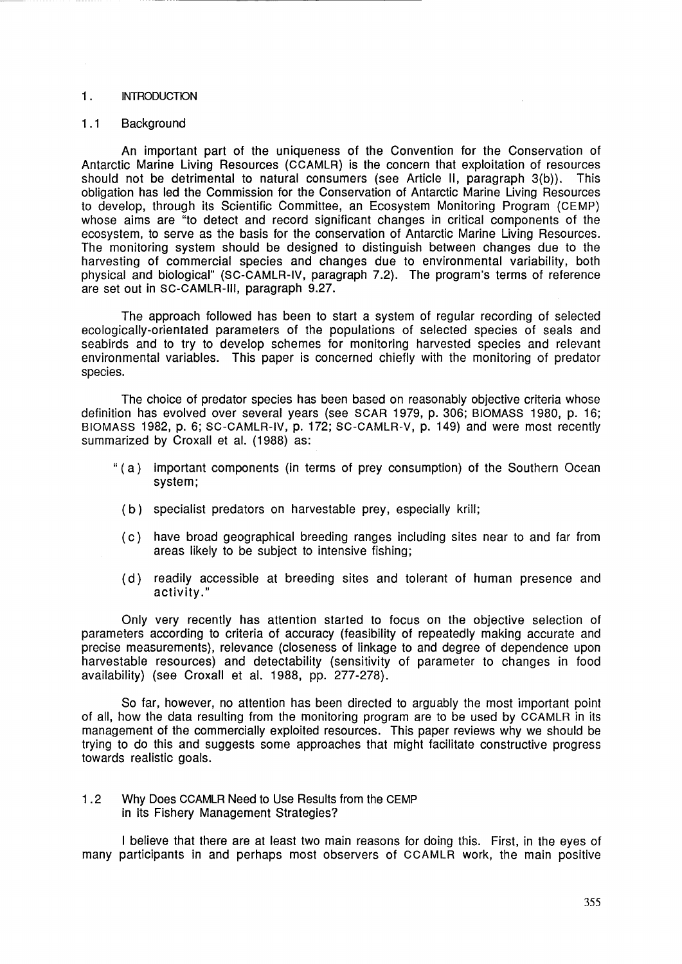## 1 . INTRODUCTION

#### 1.1 Background

An important part of the uniqueness of the Convention for the Conservation of Antarctic Marine Living Resources {CCAMLR) is the concern that exploitation of resources should not be detrimental to natural consumers (see Article 11, paragraph 3{b)). This obligation has led the Commission for the Conservation of Antarctic Marine Living Resources to develop, through its Scientific Committee, an Ecosystem Monitoring Program {CEMP) whose aims are "to detect and record significant changes in critical components of the ecosystem, to serve as the basis for the conservation of Antarctic Marine Living Resources. The monitoring system should be designed to distinguish between changes due to the harvesting of commercial species and changes due to environmental variability, both physical and biological" {SC-CAMLR-IV, paragraph 7.2). The program's terms of reference are set out in SC-CAMLR-111, paragraph 9.27.

The approach followed has been to start a system of regular recording of selected ecologically-orientated parameters of the populations of selected species of seals and seabirds and to try to develop schemes for monitoring harvested species and relevant environmental variables. This paper is concerned chiefly with the monitoring of predator species.

The choice of predator species has been based on reasonably objective criteria whose definition has evolved over several years (see SCAR 1979, p. 306; BIOMASS 1980, p. 16; BIOMASS 1982, p. 6; SC-CAMLR-IV, p. 172; SC-CAMLR-V, p. 149) and were most recently summarized by Croxall et al. (1988) as:

- " ( a) important components (in terms of prey consumption) of the Southern Ocean system;
	- (b) specialist predators on harvestable prey, especially krill;
	- (c) have broad geographical breeding ranges including sites near to and far from areas likely to be subject to intensive fishing;
	- (d) readily accessible at breeding sites and tolerant of human presence and activity."

Only very recently has attention started to focus on the objective selection of parameters according to criteria of accuracy (feasibility of repeatedly making accurate and precise measurements), relevance (closeness of linkage to and degree of dependence upon harvestable resources) and detectability (sensitivity of parameter to changes in food availability) (see Croxall et al. 1988, pp. 277 -278).

So far, however, no attention has been directed to arguably the most important point of all, how the data resulting from the monitoring program are to be used by CCAMLR in its management of the commercially exploited resources. This paper reviews why we should be trying to do this and suggests some approaches that might facilitate constructive progress towards realistic goals.

1.2 Why Does CCAMLR Need to Use Results from the CEMP in its Fishery Management Strategies?

I believe that there are at least two main reasons for doing this. First, in the eyes of many participants in and perhaps most observers of CCAMLR work, the main positive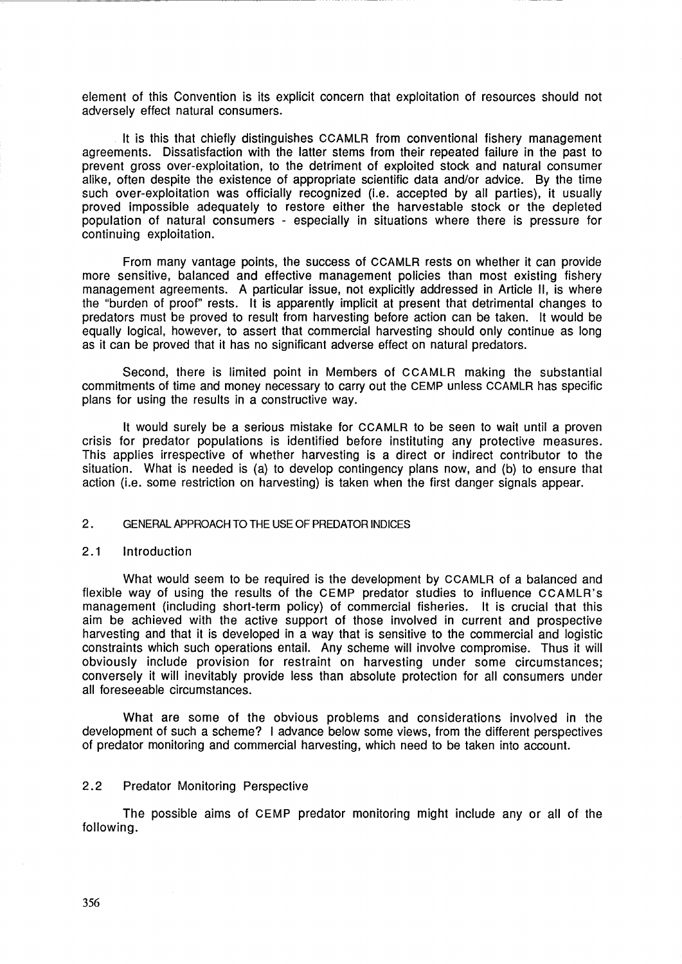element of this Convention is its explicit concern that exploitation of resources should not adversely effect natural consumers.

lt is this that chiefly distinguishes CCAMLR from conventional fishery management agreements. Dissatisfaction with the latter stems from their repeated failure in the past to prevent gross over-exploitation, to the detriment of exploited stock and natural consumer alike, often despite the existence of appropriate scientific data and/or advice. By the time such over-exploitation was officially recognized (i.e. accepted by all parties), it usually proved impossible adequately to restore either the harvestable stock or the depleted population of natural consumers - especially in situations where there is pressure for continuing exploitation.

From many vantage points, the success of CCAMLR rests on whether it can provide more sensitive, balanced and effective management policies than most existing fishery management agreements. A particular issue, not explicitly addressed in Article 11, is where the "burden of proof" rests. lt is apparently implicit at present that detrimental changes to predators must be proved to result from harvesting before action can be taken. lt would be equally logical, however, to assert that commercial harvesting should only continue as long as it can be proved that it has no significant adverse effect on natural predators.

Second, there is limited point in Members of CCAMLR making the substantial commitments of time and money necessary to carry out the CEMP unless CCAMLR has specific plans for using the results in a constructive way.

lt would surely be a serious mistake for CCAMLR to be seen to wait until a proven crisis for predator populations is identified before instituting any protective measures. This applies irrespective of whether harvesting is a direct or indirect contributor to the situation. What is needed is (a) to develop contingency plans now, and (b) to ensure that action (i.e. some restriction on harvesting) is taken when the first danger signals appear.

# 2. GENERAL APPROACH TO THE USE OF PREDATOR INDICES

#### 2.1 Introduction

What would seem to be required is the development by CCAMLR of a balanced and flexible way of using the results of the CEMP predator studies to influence CCAMLR's management (including short-term policy) of commercial fisheries. lt is crucial that this aim be achieved with the active support of those involved in current and prospective harvesting and that it is developed in a way that is sensitive to the commercial and logistic constraints which such operations entail. Any scheme will involve compromise. Thus it will obviously include provision for restraint on harvesting under some circumstances; conversely it will inevitably provide less than absolute protection for all consumers under all foreseeable circumstances.

What are some of the obvious problems and considerations involved in the development of such a scheme? I advance below some views, from the different perspectives of predator monitoring and commercial harvesting, which need to be taken into account.

# 2.2 Predator Monitoring Perspective

The possible aims of CEMP predator monitoring might include any or all of the following.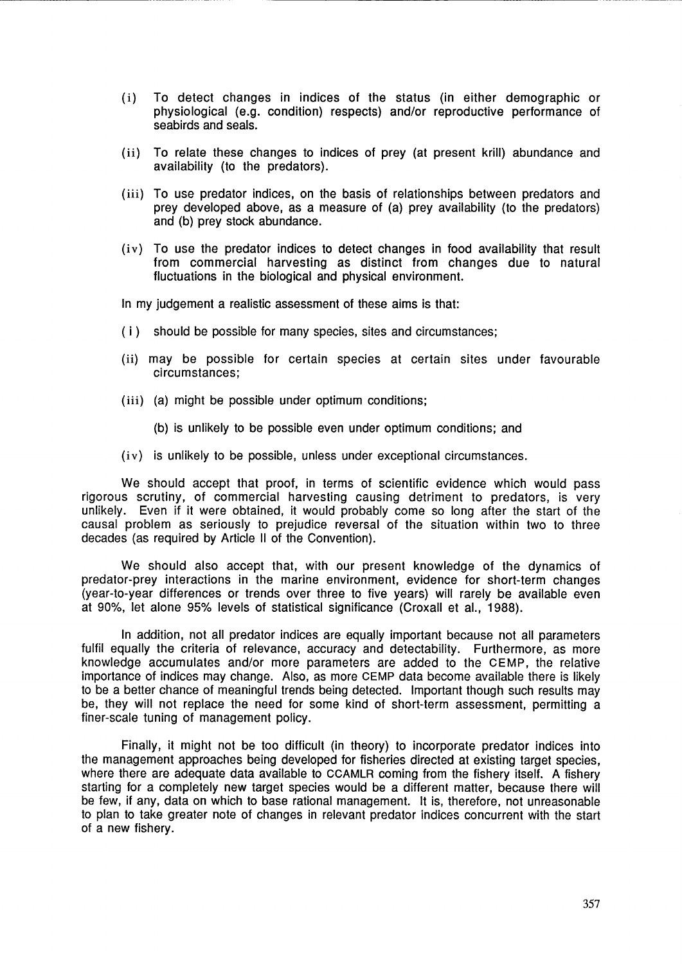- ( i) To detect changes in indices of the status (in either demographic or physiological (e.g. condition) respects) and/or reproductive performance of seabirds and seals.
- (ii) To relate these changes to indices of prey (at present krill) abundance and availability (to the predators}.
- (iii) To use predator indices, on the basis of relationships between predators and prey developed above, as a measure of (a) prey availability (to the predators) and (b) prey stock abundance.
- (iv) To use the predator indices to detect changes in food availability that result from commercial harvesting as distinct from changes due to natural fluctuations in the biological and physical environment.

In my judgement a realistic assessment of these aims is that:

- (i) should be possible for many species, sites and circumstances;
- (ii) may be possible for certain species at certain sites under favourable circumstances;
- (iii) (a) might be possible under optimum conditions;
	- (b) is unlikely to be possible even under optimum conditions; and
- (iv) is unlikely to be possible, unless under exceptional circumstances.

We should accept that proof, in terms of scientific evidence which would pass rigorous scrutiny, of commercial harvesting causing detriment to predators, is very unlikely. Even if it were obtained, it would probably come so long after the start of the causal problem as seriously to prejudice reversal of the situation within two to three decades (as required by Article 11 of the Convention).

We should also accept that, with our present knowledge of the dynamics of predator-prey interactions in the marine environment, evidence for short-term changes (year-to-year differences or trends over three to five years) will rarely be available even at 90%, let alone 95% levels of statistical significance (Croxall et al., 1988).

In addition, not all predator indices are equally important because not all parameters fulfil equally the criteria of relevance, accuracy and detectability. Furthermore, as more knowledge accumulates and/or more parameters are added to the CEMP, the relative importance of indices may change. Also, as more CEMP data become available there is likely to be a better chance of meaningful trends being detected. Important though such results may be, they will not replace the need for some kind of short-term assessment, permitting a finer-scale tuning of management policy.

Finally, it might not be too difficult (in theory) to incorporate predator indices into the management approaches being developed for fisheries directed at existing target species, where there are adequate data available to CCAMLR coming from the fishery itself. A fishery starting for a completely new target species would be a different matter, because there will be few, if any, data on which to base rational management. lt is, therefore, not unreasonable to plan to take greater note of changes in relevant predator indices concurrent with the start of a new fishery.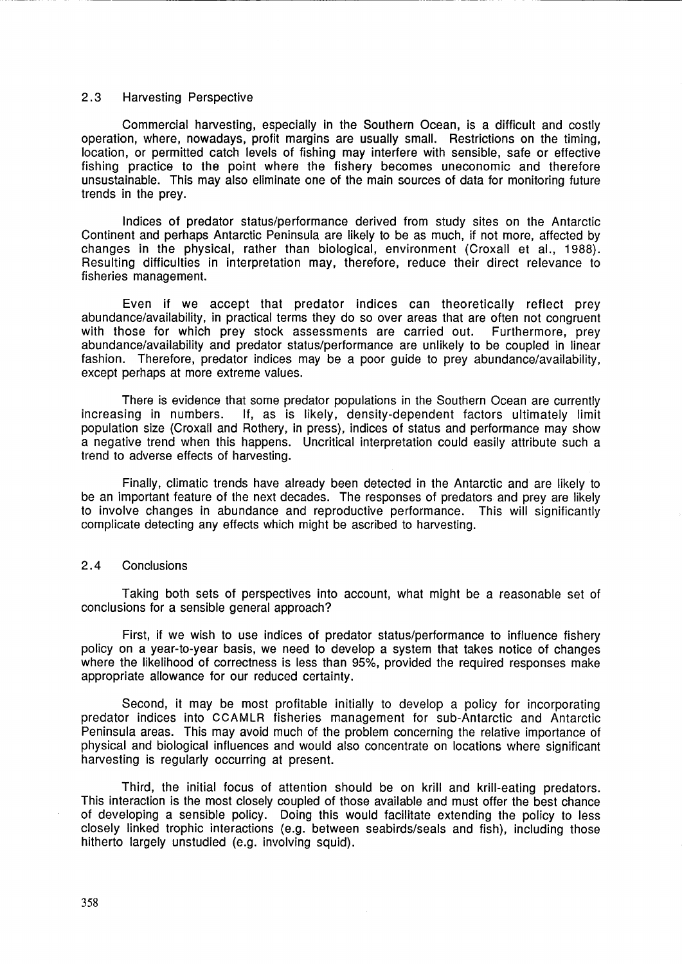## 2.3 Harvesting Perspective

Commercial harvesting, especially in the Southern Ocean, is a difficult and costly operation, where, nowadays, profit margins are usually small. Restrictions on the timing, location, or permitted catch levels of fishing may interfere with sensible, safe or effective fishing practice to the point where the fishery becomes uneconomic and therefore unsustainable. This may also eliminate one of the main sources of data for monitoring future trends in the prey.

-------------------------- -----

Indices of predator status/performance derived from study sites on the Antarctic Continent and perhaps Antarctic Peninsula are likely to be as much, if not more, affected by changes in the physical, rather than biological, environment (Croxall et al., 1988). Resulting difficulties in interpretation may, therefore, reduce their direct relevance to fisheries management.

Even if we accept that predator indices can theoretically reflect prey abundance/availability, in practical terms they do so over areas that are often not congruent with those for which prey stock assessments are carried out. Furthermore, prey abundance/availability and predator status/performance are unlikely to be coupled in linear fashion. Therefore, predator indices may be a poor guide to prey abundance/availability, except perhaps at more extreme values.

There is evidence that some predator populations in the Southern Ocean are currently increasing in numbers. If, as is likely, density-dependent factors ultimately limit population size (Croxall and Rothery, in press), indices of status and performance may show a negative trend when this happens. Uncritical interpretation could easily attribute such a trend to adverse effects of harvesting.

Finally, climatic trends have already been detected in the Antarctic and are likely to be an important feature of the next decades. The responses of predators and prey are likely to involve changes in abundance and reproductive performance. This will significantly complicate detecting any effects which might be ascribed to harvesting.

### 2. 4 Conclusions

Taking both sets of perspectives into account, what might be a reasonable set of conclusions for a sensible general approach?

First, if we wish to use indices of predator status/performance to influence fishery policy on a year-to-year basis, we need to develop a system that takes notice of changes where the likelihood of correctness is less than 95%, provided the required responses make appropriate allowance for our reduced certainty.

Second, it may be most profitable initially to develop a policy for incorporating predator indices into CCAMLR fisheries management for sub-Antarctic and Antarctic Peninsula areas. This may avoid much of the problem concerning the relative importance of physical and biological influences and would also concentrate on locations where significant harvesting is regularly occurring at present.

Third, the initial focus of attention should be on krill and krill-eating predators. This interaction is the most closely coupled of those available and must offer the best chance of developing a sensible policy. Doing this would facilitate extending the policy to less closely linked trophic interactions (e.g. between seabirds/seals and fish), including those hitherto largely unstudied (e.g. involving squid).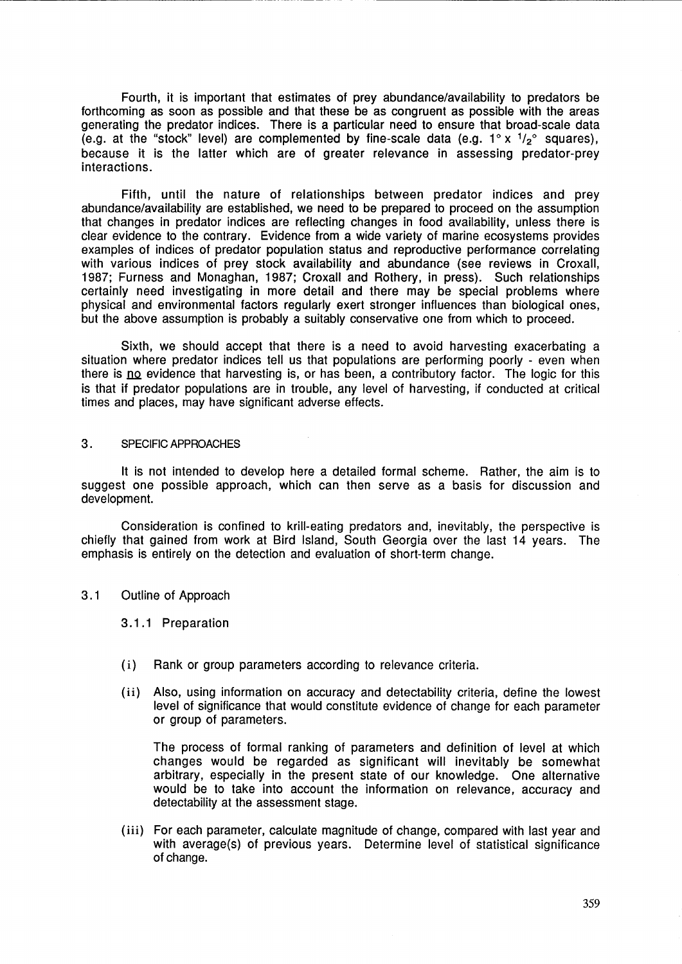Fourth, it is important that estimates of prey abundance/availability to predators be forthcoming as soon as possible and that these be as congruent as possible with the areas generating the predator indices. There is a particular need to ensure that broad-scale data (e.g. at the "stock" level) are complemented by fine-scale data (e.g.  $1^{\circ} \times 1/z^{\circ}$  squares), because it is the latter which are of greater relevance in assessing predator-prey interactions.

Fifth, until the nature of relationships between predator indices and prey abundance/availability are established, we need to be prepared to proceed on the assumption that changes in predator indices are reflecting changes in food availability, unless there is clear evidence to the contrary. Evidence from a wide variety of marine ecosystems provides examples of indices of predator population status and reproductive performance correlating with various indices of prey stock availability and abundance (see reviews in Croxall, 1987; Furness and Monaghan, 1987; Croxall and Rothery, in press). Such relationships certainly need investigating in more detail and there may be special problems where physical and environmental factors regularly exert stronger influences than biological ones, but the above assumption is probably a suitably conservative one from which to proceed.

Sixth, we should accept that there is a need to avoid harvesting exacerbating a situation where predator indices tell us that populations are performing poorly - even when there is no evidence that harvesting is, or has been, a contributory factor. The logic for this is that if predator populations are in trouble, any level of harvesting, if conducted at critical times and places, may have significant adverse effects.

### 3. SPECIFIC APPROACHES

lt is not intended to develop here a detailed formal scheme. Rather, the aim is to suggest one possible approach, which can then serve as a basis for discussion and development.

Consideration is confined to krill-eating predators and, inevitably, the perspective is chiefly that gained from work at Bird Island, South Georgia over the last 14 years. The emphasis is entirely on the detection and evaluation of short-term change.

3. 1 Outline of Approach

3.1 .1 Preparation

- ( i) Rank or group parameters according to relevance criteria.
- (ii) Also, using information on accuracy and detectability criteria, define the lowest level of significance that would constitute evidence of change for each parameter or group of parameters.

The process of formal ranking of parameters and definition of level at which changes would be regarded as significant will inevitably be somewhat arbitrary, especially in the present state of our knowledge. One alternative would be to take into account the information on relevance, accuracy and detectability at the assessment stage.

(iii) For each parameter, calculate magnitude of change, compared with last year and with average(s) of previous years. Determine level of statistical significance of change.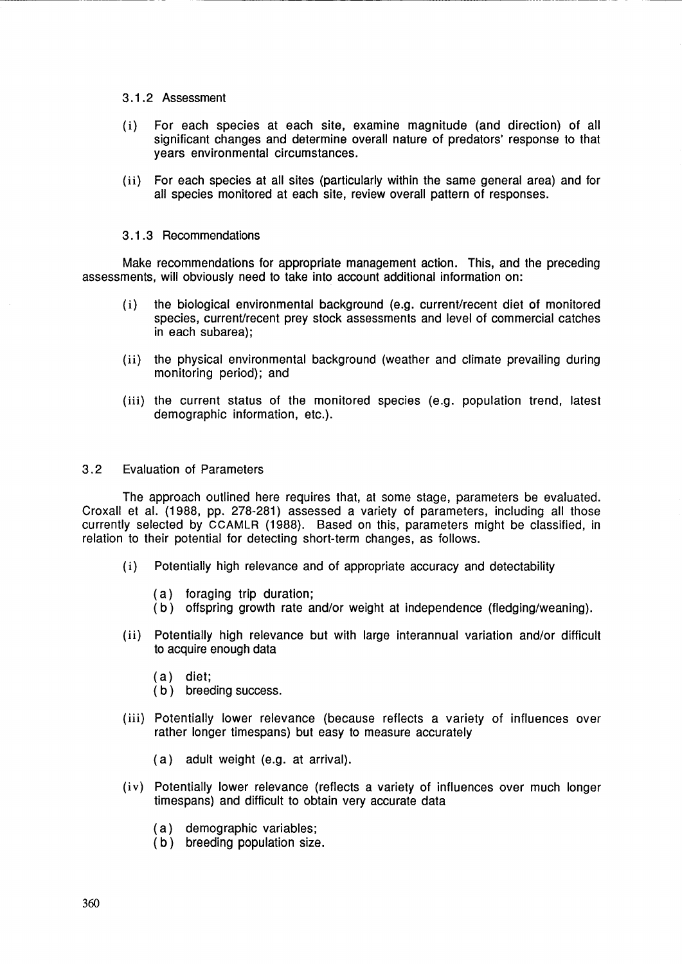## 3.1.2 Assessment

( i) For each species at each site, examine magnitude (and direction) of all significant changes and determine overall nature of predators' response to that years environmental circumstances.

------------------ - --------------------------------------- -

(ii) For each species at all sites {particularly within the same general area) and for all species monitored at each site, review overall pattern of responses.

## 3.1.3 Recommendations

Make recommendations for appropriate management action. This, and the preceding assessments, will obviously need to take into account additional information on:

- (i) the biological environmental background (e.g. current/recent diet of monitored species, current/recent prey stock assessments and level of commercial catches in each subarea);
- (ii) the physical environmental background (weather and climate prevailing during monitoring period); and
- {iii) the current status of the monitored species (e.g. population trend, latest demographic information, etc.).

## 3. 2 Evaluation of Parameters

The approach outlined here requires that, at some stage, parameters be evaluated. Croxall et al. {1988, pp. 278-281) assessed a variety of parameters, including all those currently selected by CCAMLR (1988). Based on this, parameters might be classified, in relation to their potential for detecting short-term changes, as follows.

- ( i) Potentially high relevance and of appropriate accuracy and detectability
	- (a) foraging trip duration;
	- (b) offspring growth rate and/or weight at independence (fledging/weaning).
- (ii) Potentially high relevance but with large interannual variation and/or difficult to acquire enough data
	- (a) diet;
	- (b) breeding success.
- (iii) Potentially lower relevance (because reflects a variety of influences over rather longer timespans) but easy to measure accurately
	- (a) adult weight (e.g. at arrival).
- (iv) Potentially lower relevance (reflects a variety of influences over much longer timespans) and difficult to obtain very accurate data
	- (a) demographic variables;
	- (b) breeding population size.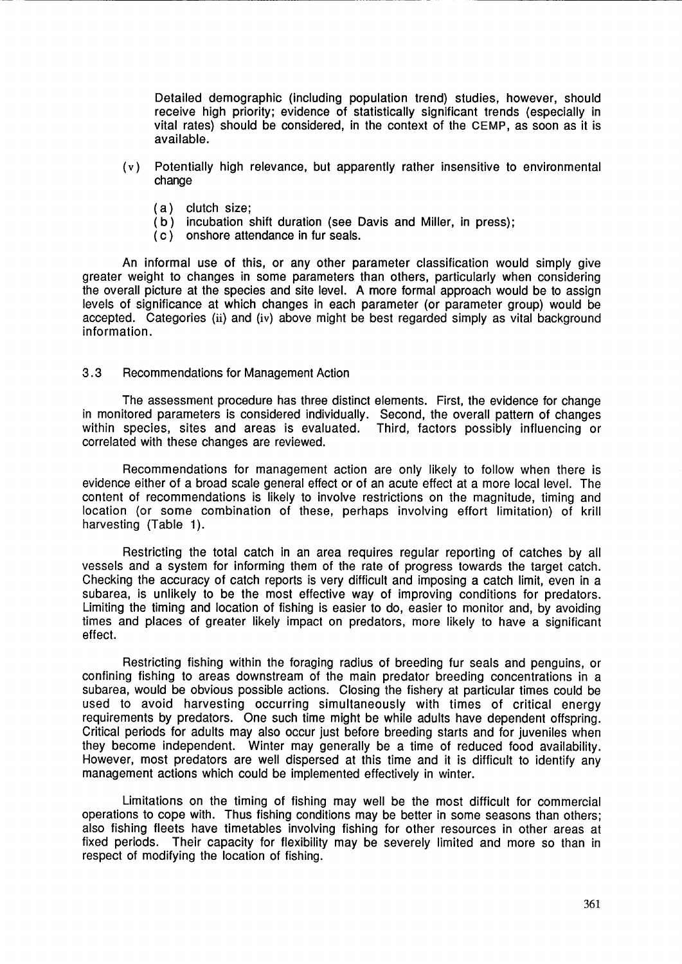Detailed demographic (including population trend) studies, however, should receive high priority; evidence of statistically significant trends (especially in vital rates) should be considered, in the context of the CEMP, as soon as it is available.

- ( v) Potentially high relevance, but apparently rather insensitive to environmental change
	- (a) clutch size;
	- (b) incubation shift duration (see Davis and Miller, in press);
	- (c) onshore attendance in fur seals.

An informal use of this, or any other parameter classification would simply give greater weight to changes in some parameters than others, particularly when considering the overall picture at the species and site level. A more formal approach would be to assign levels of significance at which changes in each parameter (or parameter group) would be accepted. Categories (ii) and (iv) above might be best regarded simply as vital background information.

## 3. 3 Recommendations for Management Action

The assessment procedure has three distinct elements. First, the evidence for change in monitored parameters is considered individually. Second, the overall pattern of changes within species, sites and areas is evaluated. Third, factors possibly influencing or correlated with these changes are reviewed.

Recommendations for management action are only likely to follow when there is evidence either of a broad scale general effect or of an acute effect at a more local level. The content of recommendations is likely to involve restrictions on the magnitude, timing and location (or some combination of these, perhaps involving effort limitation) of krill harvesting (Table 1).

Restricting the total catch in an area requires regular reporting of catches by all vessels and a system for informing them of the rate of progress towards the target catch. Checking the accuracy of catch reports is very difficult and imposing a catch limit, even in a subarea, is unlikely to be the most effective way of improving conditions for predators. Limiting the timing and location of fishing is easier to do, easier to monitor and, by avoiding times and places of greater likely impact on predators, more likely to have a significant effect.

Restricting fishing within the foraging radius of breeding fur seals and penguins, or confining fishing to areas downstream of the main predator breeding concentrations in a subarea, would be obvious possible actions. Closing the fishery at particular times could be used to avoid harvesting occurring simultaneously with times of critical energy requirements by predators. One such time might be while adults have dependent offspring. Critical periods for adults may also occur just before breeding starts and for juveniles when they become independent. Winter may generally be a time of reduced food availability. However, most predators are well dispersed at this time and it is difficult to identify any management actions which could be implemented effectively in winter.

Limitations on the timing of fishing may well be the most difficult for commercial operations to cope with. Thus fishing conditions may be better in some seasons than others; also fishing fleets have timetables involving fishing for other resources in other areas at fixed periods. Their capacity for flexibility may be severely limited and more so than in respect of modifying the location of fishing.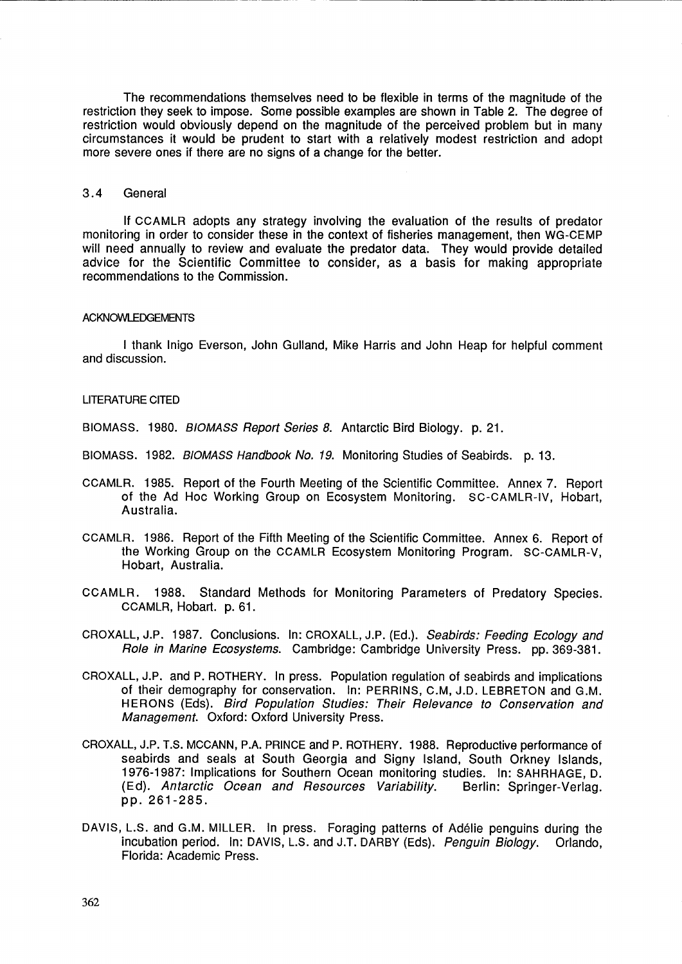The recommendations themselves need to be flexible in terms of the magnitude of the restriction they seek to impose. Some possible examples are shown in Table 2. The degree of restriction would obviously depend on the magnitude of the perceived problem but in many circumstances it would be prudent to start with a relatively modest restriction and adopt more severe ones if there are no signs of a change for the better.

#### 3.4 General

If CCAMLR adopts any strategy involving the evaluation of the results of predator monitoring in order to consider these in the context of fisheries management, then WG-CEMP will need annually to review and evaluate the predator data. They would provide detailed advice for the Scientific Committee to consider, as a basis for making appropriate recommendations to the Commission.

#### ACKNOWLEDGEMENTS

I thank lnigo Everson, John Gulland, Mike Harris and John Heap for helpful comment and discussion.

### LITERATURE CITED

BIOMASS. 1980. BIOMASS Report Series 8. Antarctic Bird Biology. p. 21.

- BIOMASS. 1982. BIOMASS Handbook No. 19. Monitoring Studies of Seabirds. p. 13.
- CCAMLR. 1985. Report of the Fourth Meeting of the Scientific Committee. Annex 7. Report of the Ad Hoc Working Group on Ecosystem Monitoring. SC-CAMLR-IV, Hobart, Australia.
- CCAMLR. 1986. Report of the Fifth Meeting of the Scientific Committee. Annex 6. Report of the Working Group on the CCAMLR Ecosystem Monitoring Program. SC-CAMLR-V, Hobart, Australia.
- CCAMLR. 1988. Standard Methods for Monitoring Parameters of Predatory Species. CCAMLR, Hobart. p. 61.

CROXALL, J.P. 1987. Conclusions. In: CROXALL, J.P. (Ed.). Seabirds: Feeding Ecology and Role in Marine Ecosystems. Cambridge: Cambridge University Press. pp. 369-381.

- CROXALL, J.P. and P. ROTHERY. In press. Population regulation of seabirds and implications of their demography for conservation. In: PERRINS, C.M, J.D. LEBRETON and G.M. HERONS (Eds). Bird Population Studies: Their Relevance to Conservation and Management. Oxford: Oxford University Press.
- CROXALL, J.P. T.S. MCCANN, P.A. PRINCE and P. ROTHERY. 1988. Reproductive performance of seabirds and seals at South Georgia and Signy Island, South Orkney Islands, 1976-1987: Implications for Southern Ocean monitoring studies. In: SAHRHAGE, D. (Ed). Antarctic Ocean and Resources Variability. Berlin: Springer-Verlag. (Ed). Antarctic Ocean and Resources Variability. pp. 261-285.
- DAVIS, L.S. and G.M. MILLER. In press. Foraging patterns of Adelie penguins during the incubation period. In: DAVIS, L.S. and J.T. DARBY (Eds). Penguin Biology. Orlando, Florida: Academic Press.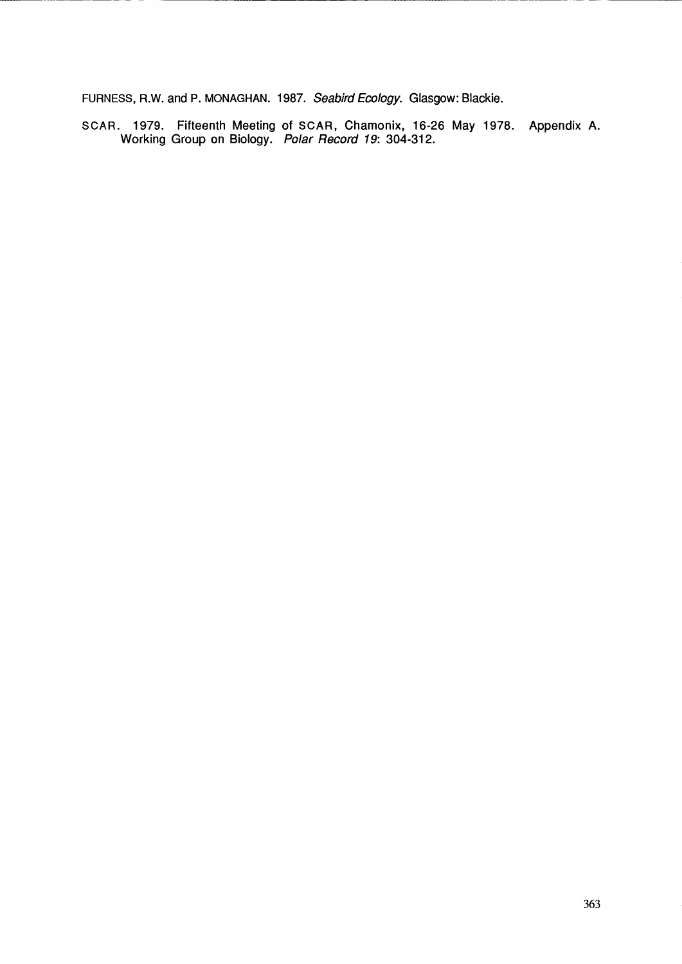FURNESS, R.W. and P. MONAGHAN. 1987. Seabird Ecology. Glasgow: Blackie.

-------------- - ---------------------------------- -- -

SCAR. 1979. Fifteenth Meeting of SCAR, Chamonix, 16-26 May 1978. Appendix A. Working Group on Biology. Polar Record 19: 304-312.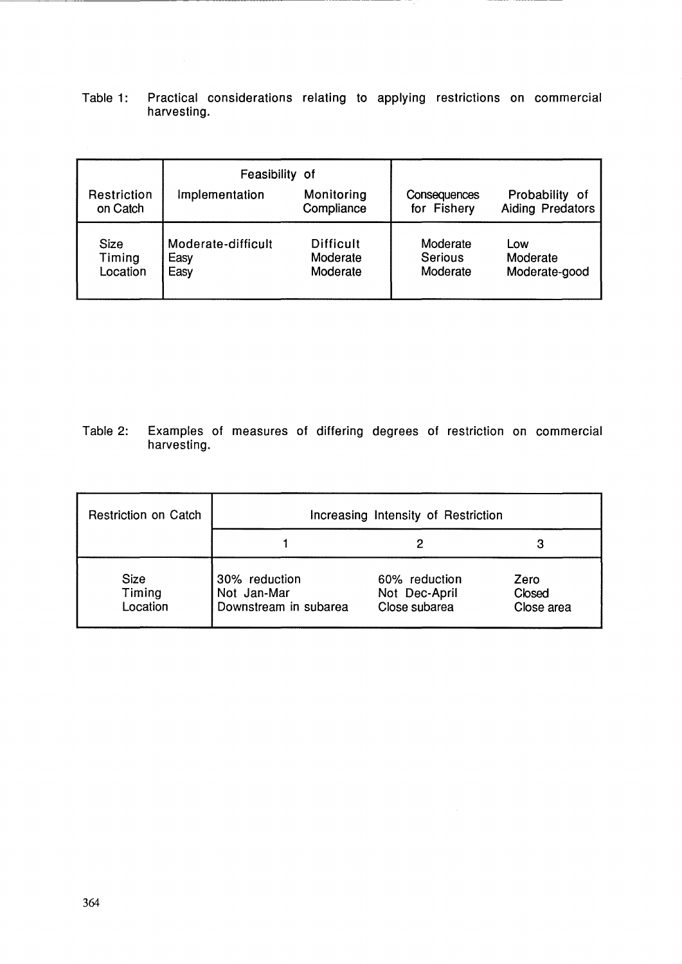Table 1: Practical considerations relating to applying restrictions on commercial harvesting.

π,

----------------------------------

|                            | Feasibility of                     |                                          |                                        |                                        |
|----------------------------|------------------------------------|------------------------------------------|----------------------------------------|----------------------------------------|
| Restriction<br>on Catch    | Implementation                     | Monitoring<br>Compliance                 | <b>Consequences</b><br>for Fishery     | Probability<br>-of<br>Aiding Predators |
| Size<br>Timing<br>Location | Moderate-difficult<br>Easy<br>Easy | <b>Difficult</b><br>Moderate<br>Moderate | Moderate<br><b>Serious</b><br>Moderate | Low<br>Moderate<br>Moderate-good       |

Table 2: Examples of measures of differing degrees of restriction on commercial harvesting.

| <b>Restriction on Catch</b>       | Increasing Intensity of Restriction                   |                                                 |                              |  |
|-----------------------------------|-------------------------------------------------------|-------------------------------------------------|------------------------------|--|
|                                   |                                                       |                                                 |                              |  |
| <b>Size</b><br>Timing<br>Location | 30% reduction<br>Not Jan-Mar<br>Downstream in subarea | 60% reduction<br>Not Dec-April<br>Close subarea | Zero<br>Closed<br>Close area |  |